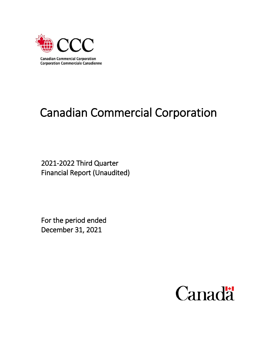

# Canadian Commercial Corporation

2021-2022 Third Quarter Financial Report (Unaudited)

For the period ended December 31, 2021

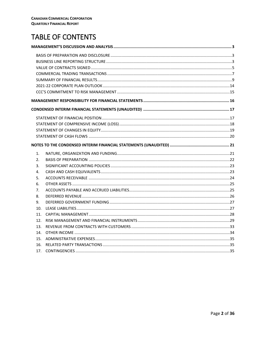# **TABLE OF CONTENTS**

| 1.              |  |
|-----------------|--|
| 2.              |  |
| 3.              |  |
| 4.              |  |
| 5.              |  |
| 6.              |  |
| 7.              |  |
| 8.              |  |
| 9.              |  |
| 10 <sub>1</sub> |  |
| 11.             |  |
| 12.             |  |
| 13.             |  |
| 14.             |  |
| 15.             |  |
| 16.             |  |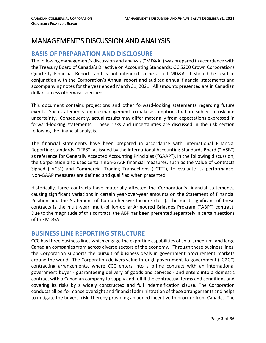# <span id="page-2-0"></span>MANAGEMENT'S DISCUSSION AND ANALYSIS

# <span id="page-2-1"></span>**BASIS OF PREPARATION AND DISCLOSURE**

The following management's discussion and analysis ("MD&A") was prepared in accordance with the Treasury Board of Canada's Directive on Accounting Standards: GC 5200 Crown Corporations Quarterly Financial Reports and is not intended to be a full MD&A. It should be read in conjunction with the Corporation's Annual report and audited annual financial statements and accompanying notes for the year ended March 31, 2021. All amounts presented are in Canadian dollars unless otherwise specified.

This document contains projections and other forward-looking statements regarding future events. Such statements require management to make assumptions that are subject to risk and uncertainty. Consequently, actual results may differ materially from expectations expressed in forward-looking statements. These risks and uncertainties are discussed in the risk section following the financial analysis.

The financial statements have been prepared in accordance with International Financial Reporting standards ("IFRS") as issued by the International Accounting Standards Board ("IASB") as reference for Generally Accepted Accounting Principles ("GAAP"). In the following discussion, the Corporation also uses certain non-GAAP financial measures, such as the Value of Contracts Signed ("VCS") and Commercial Trading Transactions ("CTT"), to evaluate its performance. Non-GAAP measures are defined and qualified when presented.

Historically, large contracts have materially affected the Corporation's financial statements, causing significant variations in certain year-over-year amounts on the Statement of Financial Position and the Statement of Comprehensive Income (Loss). The most significant of these contracts is the multi-year, multi-billion-dollar Armoured Brigades Program ("ABP") contract. Due to the magnitude of this contract, the ABP has been presented separately in certain sections of the MD&A.

# <span id="page-2-2"></span>**BUSINESS LINE REPORTING STRUCTURE**

CCC has three business lines which engage the exporting capabilities of small, medium, and large Canadian companies from across diverse sectors of the economy. Through these business lines, the Corporation supports the pursuit of business deals in government procurement markets around the world. The Corporation delivers value through government-to-government ("G2G") contracting arrangements, where CCC enters into a prime contract with an international government buyer - guaranteeing delivery of goods and services - and enters into a domestic contract with a Canadian company to supply and fulfill the contractual terms and conditions and covering its risks by a widely constructed and full indemnification clause. The Corporation conducts all performance oversight and financial administration of these arrangements and helps to mitigate the buyers' risk, thereby providing an added incentive to procure from Canada. The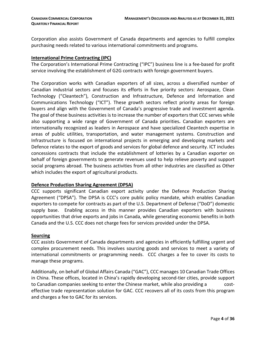Corporation also assists Government of Canada departments and agencies to fulfill complex purchasing needs related to various international commitments and programs.

#### **International Prime Contracting (IPC)**

The Corporation's International Prime Contracting ("IPC") business line is a fee-based for profit service involving the establishment of G2G contracts with foreign government buyers.

The Corporation works with Canadian exporters of all sizes, across a diversified number of Canadian industrial sectors and focuses its efforts in five priority sectors: Aerospace, Clean Technology ("Cleantech"), Construction and Infrastructure, Defence and Information and Communications Technology ("ICT"). These growth sectors reflect priority areas for foreign buyers and align with the Government of Canada's progressive trade and investment agenda. The goal of these business activities is to increase the number of exporters that CCC serves while also supporting a wide range of Government of Canada priorities**.** Canadian exporters are internationally recognized as leaders in Aerospace and have specialized Cleantech expertise in areas of public utilities, transportation, and water management systems. Construction and Infrastructure is focused on international projects in emerging and developing markets and Defence relates to the export of goods and services for global defence and security. ICT includes concessions contracts that include the establishment of lotteries by a Canadian exporter on behalf of foreign governments to generate revenues used to help relieve poverty and support social programs abroad. The business activities from all other industries are classified as Other which includes the export of agricultural products.

#### **Defence Production Sharing Agreement (DPSA)**

CCC supports significant Canadian export activity under the Defence Production Sharing Agreement ("DPSA"). The DPSA is CCC's core public policy mandate, which enables Canadian exporters to compete for contracts as part of the U.S. Department of Defense ("DoD") domestic supply base. Enabling access in this manner provides Canadian exporters with business opportunities that drive exports and jobs in Canada, while generating economic benefits in both Canada and the U.S. CCC does not charge fees for services provided under the DPSA.

#### **Sourcing**

CCC assists Government of Canada departments and agencies in efficiently fulfilling urgent and complex procurement needs. This involves sourcing goods and services to meet a variety of international commitments or programming needs. CCC charges a fee to cover its costs to manage these programs.

Additionally, on behalf of Global Affairs Canada ("GAC"), CCC manages 10 Canadian Trade Offices in China. These offices, located in China's rapidly developing second-tier cities, provide support to Canadian companies seeking to enter the Chinese market, while also providing a costeffective trade representation solution for GAC. CCC recovers all of its costs from this program and charges a fee to GAC for its services.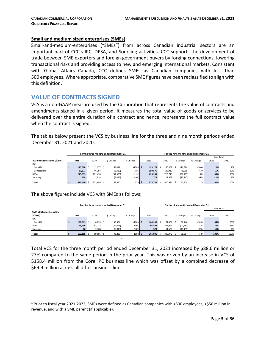#### **Small and medium sized enterprises (SMEs)**

Small-and-medium-enterprises ("SMEs") from across Canadian industrial sectors are an important part of CCC's IPC, DPSA, and Sourcing activities. CCC supports the development of trade between SME exporters and foreign government buyers by forging connections, lowering transactional risks and providing access to new and emerging international markets. Consistent with Global Affairs Canada, CCC defines SMEs as Canadian companies with less than 500 employees. Where appropriate, comparative SME figures have been reclassified to align with this definition. $^1$  $^1$ 

# <span id="page-4-0"></span>**VALUE OF CONTRACTS SIGNED**

VCS is a non-GAAP measure used by the Corporation that represents the value of contracts and amendments signed in a given period. It measures the total value of goods or services to be delivered over the entire duration of a contract and hence, represents the full contract value when the contract is signed.

The tables below present the VCS by business line for the three and nine month periods ended December 31, 2021 and 2020.

|                                |                                       |         |  |         |        | For the three months ended December 31. |             | For the nine months ended December 31. |         |         |         |           |           |       |            |     |  |
|--------------------------------|---------------------------------------|---------|--|---------|--------|-----------------------------------------|-------------|----------------------------------------|---------|---------|---------|-----------|-----------|-------|------------|-----|--|
|                                |                                       |         |  |         |        |                                         |             |                                        |         |         |         |           |           |       | % of Total |     |  |
| VCS by business line (\$000's) | 2021<br>2020<br>\$ Change<br>% Change |         |  |         |        |                                         |             | 2021                                   |         | 2020    |         | \$ Change | % Change  | 2021  | 2020       |     |  |
| <b>IPC</b>                     |                                       |         |  |         |        |                                         |             |                                        |         |         |         |           |           |       |            |     |  |
| Core IPC                       |                                       | 170.598 |  | 12.177  |        | 158.421                                 | $>100\%$ \$ |                                        | 193,178 |         | 66.302  |           | 126.876   | >100% | 20%        | 7%  |  |
| Concessions                    |                                       | 37,877  |  | 46.297  |        | (8,420)                                 | (18%)       |                                        | 150,575 |         | 105,010 |           | 45,565    | 43%   | 15%        | 12% |  |
| <b>DPSA</b>                    |                                       | 213,533 |  | 271,498 |        | (57, 965)                               | (21%)       |                                        | 629,261 |         | 726.746 |           | (97, 485) | (13%) | 65%        | 80% |  |
| Sourcing                       |                                       | 428     |  | 3,914   |        | (3,486)                                 | (89%)       |                                        | 721     |         | 12,868  |           | (12, 147) | (94%) | $1\%$      | 1%  |  |
| <b>Total</b>                   | 333.886<br>422.436                    |         |  |         | 88,550 | 27% \$                                  |             | 973,735                                |         | 910.926 |         | 62,809    | 7%        | 100%  | 100%       |     |  |

The above figures include VCS with SMEs as follows:

|                          | For the three months ended December 31. |  |            |  |           |             | For the nine months ended December 31, |         |  |         |           |           |          |            |      |  |
|--------------------------|-----------------------------------------|--|------------|--|-----------|-------------|----------------------------------------|---------|--|---------|-----------|-----------|----------|------------|------|--|
|                          |                                         |  |            |  |           |             |                                        |         |  |         |           |           |          | % of Total |      |  |
| SME VCS by business line |                                         |  |            |  |           |             |                                        |         |  |         |           |           |          |            |      |  |
| (5000's)                 | 2021                                    |  | 2020       |  | \$ Change | % Change    |                                        | 2021    |  | 2020    | \$ Change |           | % Change | 2021       | 2020 |  |
| <b>IPC</b>               |                                         |  |            |  |           |             |                                        |         |  |         |           |           |          |            |      |  |
| Core IPC                 | 138,819                                 |  | $8,255$ \$ |  | 130,564   | $>100\%$ \$ |                                        | 160.207 |  | 71.461  |           | 88.746    | >100%    | 44%        | 23%  |  |
| <b>DPSA</b>              | 23.236                                  |  | 57,732     |  | (34, 496) | (60%)       |                                        | 205,408 |  | 226,991 |           | (21, 583) | (10%)    | 56%        | 73%  |  |
| Sourcing                 | 60                                      |  | 3,908      |  | (3,848)   | (98%)       |                                        | 321     |  | 11,520  |           | (11, 199) | (97%)    | $<1\%$     | 4%   |  |
| Total                    | 162.115                                 |  | 69,895     |  | 92,220    | $>100\%$ \$ |                                        | 365.936 |  | 309.972 |           | 55,964    | 18%      | 100%       | 100% |  |

Total VCS for the three month period ended December 31, 2021 increased by \$88.6 million or 27% compared to the same period in the prior year. This was driven by an increase in VCS of \$158.4 million from the Core IPC business line which was offset by a combined decrease of \$69.9 million across all other business lines.

<span id="page-4-1"></span> <sup>1</sup> Prior to fiscal year 2021-2022, SMEs were defined as Canadian companies with <500 employees, <\$50 million in revenue, and with a SME parent (if applicable).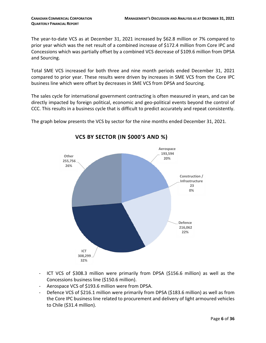The year-to-date VCS as at December 31, 2021 increased by \$62.8 million or 7% compared to prior year which was the net result of a combined increase of \$172.4 million from Core IPC and Concessions which was partially offset by a combined VCS decrease of \$109.6 million from DPSA and Sourcing.

Total SME VCS increased for both three and nine month periods ended December 31, 2021 compared to prior year. These results were driven by increases in SME VCS from the Core IPC business line which were offset by decreases in SME VCS from DPSA and Sourcing.

The sales cycle for international government contracting is often measured in years, and can be directly impacted by foreign political, economic and geo-political events beyond the control of CCC. This results in a business cycle that is difficult to predict accurately and repeat consistently.

The graph below presents the VCS by sector for the nine months ended December 31, 2021.



# **VCS BY SECTOR (IN \$000'S AND %)**

- ICT VCS of \$308.3 million were primarily from DPSA (\$156.6 million) as well as the Concessions business line (\$150.6 million).
- Aerospace VCS of \$193.6 million were from DPSA.
- Defence VCS of \$216.1 million were primarily from DPSA (\$183.6 million) as well as from the Core IPC business line related to procurement and delivery of light armoured vehicles to Chile (\$31.4 million).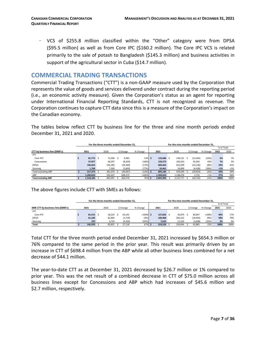- VCS of \$255.8 million classified within the "Other" category were from DPSA (\$95.5 million) as well as from Core IPC (\$160.2 million). The Core IPC VCS is related primarily to the sale of potash to Bangladesh (\$145.3 million) and business activities in support of the agricultural sector in Cuba (\$14.7 million).

# <span id="page-6-0"></span>**COMMERCIAL TRADING TRANSACTIONS**

Commercial Trading Transactions ("CTT") is a non-GAAP measure used by the Corporation that represents the value of goods and services delivered under contract during the reporting period (i.e., an economic activity measure). Given the Corporation's status as an agent for reporting under International Financial Reporting Standards, CTT is not recognized as revenue. The Corporation continues to capture CTT data since this is a measure of the Corporation's impact on the Canadian economy.

The tables below reflect CTT by business line for the three and nine month periods ended December 31, 2021 and 2020.

|                                |                | For the three months ended December 31. |           |          |          |            |           | For the nine months ended December 31. |           |          |            |         |
|--------------------------------|----------------|-----------------------------------------|-----------|----------|----------|------------|-----------|----------------------------------------|-----------|----------|------------|---------|
|                                |                |                                         |           |          |          |            |           |                                        |           |          | % of Total |         |
| CTT by business line (\$000's) | 2021           | 2020                                    | \$ Change | % Change |          | 2021       | 2020      |                                        | \$ Change | % Change | 2021       | 2020    |
| <b>IPC</b>                     |                |                                         |           |          |          |            |           |                                        |           |          |            |         |
| Core IPC                       | $81,773$ \$    | 72.390 \$                               | 9,383     | 13%      | <b>s</b> | 133,686 \$ | 149.131   |                                        | (15, 445) | (10%)    | 6%         | 7%      |
| Concessions                    | 37.877         | 46,297                                  | (8,420)   | (18%)    |          | 150.575    | 105.010   |                                        | 45,565    | 43%      | 7%         | 5%      |
| <b>DPSA</b>                    | 196.023        | 235,283                                 | (39, 260) | (17%)    |          | 600.463    | 653,599   |                                        | (53, 136) | (8%)     | 29%        | 31%     |
| Sourcing                       | 1.700          | 7,500                                   | (5,800)   | (77%)    |          | 10.461     | 16.899    |                                        | (6, 438)  | (38%)    | $1\%$      | $< 1\%$ |
| <b>Total excluding ABP</b>     | $317.373$ \$   | 361.470 \$                              | (44, 097) | (12%)    |          | 895,185 \$ | 924.639   |                                        | (29, 454) | (3%)     | 43%        | 44%     |
| ABP                            | 1.200.810      | 502.437                                 | 698.373   | >100%    |          | 1.200.810  | 1,198,078 |                                        | 2.732     | <1%      | 57%        | 56%     |
| <b>Total including ABP</b>     | $1,518,183$ \$ | 863,907                                 | 654,276   | 76%      |          | 2,095,995  | 2,122,717 |                                        | (26, 722) | (1%)     | 100%       | 100%    |

The above figures include CTT with SMEs as follows:

|                                    |             | For the three months ended December 31. |        | For the nine months ended December 31. |             |  |            |  |         |  |           |          |            |      |  |
|------------------------------------|-------------|-----------------------------------------|--------|----------------------------------------|-------------|--|------------|--|---------|--|-----------|----------|------------|------|--|
|                                    |             |                                         |        |                                        |             |  |            |  |         |  |           |          | % of Total |      |  |
| SME CTT by business line (\$000's) | 2021        |                                         | 2020   | \$ Change                              | % Change    |  | 2021       |  | 2020    |  | \$ Change | % Change | 2021       | 2020 |  |
| <b>IPC</b>                         |             |                                         |        |                                        |             |  |            |  |         |  |           |          |            |      |  |
| Core IPC                           | $81,415$ \$ |                                         | 18,224 | 63.191                                 | $>100\%$ \$ |  | 127.826 \$ |  | 42.879  |  | 84.947    | >100%    | 40%        | 17%  |  |
| <b>DPSA</b>                        | 61.185      |                                         | 62,904 | (1,719)                                | (3%)        |  | 184,068    |  | 202,522 |  | (18, 454) | (9%)     | 58%        | 79%  |  |
| Sourcing                           | 370         |                                         | 4,724  | (4, 354)                               | (92%)       |  | 7,635      |  | 11,243  |  | (3,608)   | (32%)    | 2%         | 4%   |  |
| Total                              | 142.970     |                                         | 85.852 | 57,118                                 | 67%         |  | 319,529    |  | 256,644 |  | 62,885    | 25%      | 100%       | 100% |  |

Total CTT for the three month period ended December 31, 2021 increased by \$654.3 million or 76% compared to the same period in the prior year. This result was primarily driven by an increase in CTT of \$698.4 million from the ABP while all other business lines combined for a net decrease of \$44.1 million.

The year-to-date CTT as at December 31, 2021 decreased by \$26.7 million or 1% compared to prior year. This was the net result of a combined decrease in CTT of \$75.0 million across all business lines except for Concessions and ABP which had increases of \$45.6 million and \$2.7 million, respectively.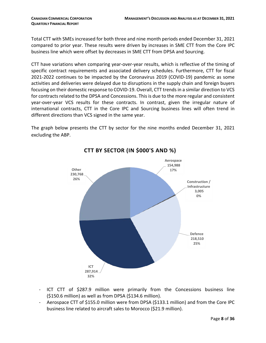Total CTT with SMEs increased for both three and nine month periods ended December 31, 2021 compared to prior year. These results were driven by increases in SME CTT from the Core IPC business line which were offset by decreases in SME CTT from DPSA and Sourcing.

CTT have variations when comparing year-over-year results, which is reflective of the timing of specific contract requirements and associated delivery schedules. Furthermore, CTT for fiscal 2021-2022 continues to be impacted by the Coronavirus 2019 (COVID-19) pandemic as some activities and deliveries were delayed due to disruptions in the supply chain and foreign buyers focusing on their domestic response to COVID-19. Overall, CTT trends in a similar direction to VCS for contracts related to the DPSA and Concessions. This is due to the more regular and consistent year-over-year VCS results for these contracts. In contrast, given the irregular nature of international contracts, CTT in the Core IPC and Sourcing business lines will often trend in different directions than VCS signed in the same year.

The graph below presents the CTT by sector for the nine months ended December 31, 2021 excluding the ABP.



**CTT BY SECTOR (IN \$000'S AND %)**

- ICT CTT of \$287.9 million were primarily from the Concessions business line (\$150.6 million) as well as from DPSA (\$134.6 million).
- Aerospace CTT of \$155.0 million were from DPSA (\$133.1 million) and from the Core IPC business line related to aircraft sales to Morocco (\$21.9 million).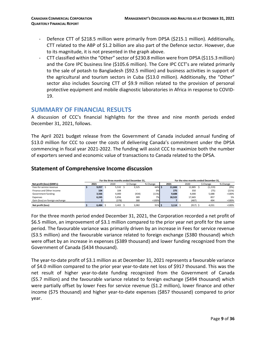- Defence CTT of \$218.5 million were primarily from DPSA (\$215.1 million). Additionally, CTT related to the ABP of \$1.2 billion are also part of the Defence sector. However, due to its magnitude, it is not presented in the graph above.
- CTT classified within the "Other" sector of \$230.8 million were from DPSA (\$115.3 million) and the Core IPC business line (\$105.6 million). The Core IPC CCT's are related primarily to the sale of potash to Bangladesh (\$92.5 million) and business activities in support of the agricultural and tourism sectors in Cuba (\$13.0 million). Additionally, the "Other" sector also includes Sourcing CTT of \$9.9 million related to the provision of personal protective equipment and mobile diagnostic laboratories in Africa in response to COVID-19.

# <span id="page-8-0"></span>**SUMMARY OF FINANCIAL RESULTS**

A discussion of CCC's financial highlights for the three and nine month periods ended December 31, 2021, follows.

The April 2021 budget release from the Government of Canada included annual funding of \$13.0 million for CCC to cover the costs of delivering Canada's commitment under the DPSA commencing in fiscal year 2021-2022. The funding will assist CCC to maximize both the number of exporters served and economic value of transactions to Canada related to the DPSA.

### **Statement of Comprehensive Income discussion**

|                                 |       |       | For the three months ended December 31. |           | For the nine months ended December 31. |               |  |            |          |          |          |  |
|---------------------------------|-------|-------|-----------------------------------------|-----------|----------------------------------------|---------------|--|------------|----------|----------|----------|--|
| Net profit (loss) (\$000's)     | 2021  | 2020  | \$ Change                               | % Change  |                                        | 2021          |  | 2020       | S Change |          | % Change |  |
| Fees for service revenue        | 9,057 | 5,532 | 3,525                                   | 64% S     |                                        | 11,666        |  | 12,885     |          | (1, 219) | (9%)     |  |
| Finance and Other income        | 104   | 104   |                                         | 0%        |                                        | 275           |  | 350        |          | (75)     | (21%)    |  |
| Government funding              | 3,566 | 4,000 | (434)                                   | (11%)     |                                        | 9,688         |  | 4,000      |          | 5,688    | >100%    |  |
| Expenses                        | 6,245 | 5,856 | 389                                     | 7%        |                                        | 18,522        |  | 17.665     |          | 857      | 5%       |  |
| Gain (loss) on foreign exchange |       | (378) | 380                                     | >100%     |                                        |               |  | (487)      |          | 494      | >100%    |  |
| Net profit (loss)               | 6.484 | 3.402 | 3.082                                   | $91\%$ \$ |                                        | $3.114 \pm 5$ |  | $(917)$ \$ |          | 4,031    | >100%    |  |

For the three month period ended December 31, 2021, the Corporation recorded a net profit of \$6.5 million, an improvement of \$3.1 million compared to the prior year net profit for the same period. The favourable variance was primarily driven by an increase in Fees for service revenue (\$3.5 million) and the favourable variance related to foreign exchange (\$380 thousand) which were offset by an increase in expenses (\$389 thousand) and lower funding recognized from the Government of Canada (\$434 thousand).

The year-to-date profit of \$3.1 million as at December 31, 2021 represents a favourable variance of \$4.0 million compared to the prior year year-to-date net loss of \$917 thousand. This was the net result of higher year-to-date funding recognized from the Government of Canada (\$5.7 million) and the favourable variance related to foreign exchange (\$494 thousand) which were partially offset by lower Fees for service revenue (\$1.2 million), lower finance and other income (\$75 thousand) and higher year-to-date expenses (\$857 thousand) compared to prior year.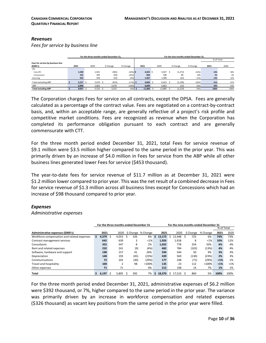#### *Revenues*

*Fees for service by business line*

|                                   |       |       | For the three months ended December 31. |            |          |      |              | For the nine months ended December 31. |          |            |      |  |
|-----------------------------------|-------|-------|-----------------------------------------|------------|----------|------|--------------|----------------------------------------|----------|------------|------|--|
|                                   |       |       |                                         |            |          |      |              |                                        |          | % of Total |      |  |
| Fees for service by business line |       |       |                                         |            |          |      |              |                                        |          |            |      |  |
| (5000's)                          | 2021  | 2020  | \$ Change                               | % Change   | 2021     | 2020 |              | \$ Change                              | % Change | 2021       | 2020 |  |
| <b>IPC</b>                        |       |       |                                         |            |          |      |              |                                        |          |            |      |  |
| Core IPC                          | 1,540 | 1,921 | (381)                                   | $(20%)$ \$ | 2,655    |      | 3,927<br>- S | (1, 272)                               | (32%)    | 23%        | 30%  |  |
| Concessions                       | 155   | 205   | (50)                                    | (24%)      | 604      |      | 506          | 98                                     | 19%      | 5%         | 4%   |  |
| Sourcing                          | 522   | 544   | (22)                                    | (4% )      | 1,567    |      | 1,589        | (22)                                   | (1%)     | 13%        | 12%  |  |
| Total excluding ABP               | 2.217 | 2,670 | (453)                                   | $(17%)$ \$ | 4,826 \$ |      | 6,022        | (1, 196)                               | (20%)    | 41%        | 47%  |  |
| ABP                               | 6.840 | 2,862 | 3,978                                   | >100%      | 6.840    |      | 6,863        | (23)                                   | (0%)     | 59%        | 53%  |  |
| <b>Total including ABP</b>        | 9.057 | 5,532 | 3,525                                   | 64% \$     | 11.666   |      | 12,885       | (1, 219)                               | (9%)     | 100%       | 100% |  |

The Corporation charges Fees for service on all contracts, except the DPSA. Fees are generally calculated as a percentage of the contract value. Fees are negotiated on a contract-by-contract basis, and, within an acceptable range, are generally reflective of a project's risk profile and competitive market conditions. Fees are recognized as revenue when the Corporation has completed its performance obligation pursuant to each contract and are generally commensurate with CTT.

For the three month period ended December 31, 2021, total Fees for service revenue of \$9.1 million were \$3.5 million higher compared to the same period in the prior year. This was primarily driven by an increase of \$4.0 million in Fees for service from the ABP while all other business lines generated lower Fees for service (\$453 thousand).

The year-to-date fees for service revenue of \$11.7 million as at December 31, 2021 were \$1.2 million lower compared to prior year. This was the net result of a combined decrease in Fees for service revenue of \$1.3 million across all business lines except for Concessions which had an increase of \$98 thousand compared to prior year.

#### *Expenses*

*Administrative expenses*

|                                             |                | For the three months ended December 31 |       |      |                    |    | For the nine months ended December 31 |    |        |           |          |            |         |
|---------------------------------------------|----------------|----------------------------------------|-------|------|--------------------|----|---------------------------------------|----|--------|-----------|----------|------------|---------|
|                                             |                |                                        |       |      |                    |    |                                       |    |        |           |          | % of Total |         |
| Administrative expenses (\$000's)           | 2021           |                                        | 2020  |      | \$ Change % Change |    | 2021                                  |    | 2020   | \$ Change | % Change | 2021       | 2020    |
| Workforce compensation and related expenses | \$<br>4,379 \$ |                                        | 4,053 | 326  | 8%                 | Ś. | 13.173                                | Ŝ  | 12.448 | 725<br>Ś  | 6%       | 74%        | 73%     |
| Contract management services                | 642            |                                        | 639   |      | $< 1\%$<br>3       |    | 1,926                                 |    | 1,918  | 8         | < 1%     | 10%        | 11%     |
| Consultants                                 | 355            |                                        | 347   |      | 2%<br>8            |    | 1,032                                 |    | 778    | 254       | 33%      | 6%         | 4%      |
| Rent and related expenses                   | 232            |                                        | 241   |      | (9)<br>(4%)        |    | 682                                   |    | 784    | (102)     | (13%)    | 4%         | 4%      |
| Software, hardware and support              | 198            |                                        | 157   | 41   | 26%                |    | 594                                   |    | 544    | 50        | 9%       | 3%         | 3%      |
| Depreciation                                | 148            |                                        | 193   | (45) | (23%)              |    | 439                                   |    | 569    | (130)     | (23%)    | 2%         | 3%      |
| Communications                              | 72             |                                        | 102   |      | (30)<br>(29%)      |    | 177                                   |    | 248    | (71)      | (29%)    | $1%$       | 1%      |
| Travel and hospitality                      | 100            |                                        | h     | 98   | >100%              |    | 135                                   |    | 23     | 112       | >100%    | $1%$       | $< 1\%$ |
| Other expenses                              | 71             |                                        | 71    |      | 0%                 |    | 212                                   |    | 198    | 14        | 7%       | 1%         | 1%      |
| Total                                       | 6.197          | Ŝ                                      | 5.805 | 392  | 7%                 | Ś. | 18.370                                | Ŝ. | 17.510 | 860<br>Ŝ  | 5%       | 100%       | 100%    |

For the three month period ended December 31, 2021, administrative expenses of \$6.2 million were \$392 thousand, or 7%, higher compared to the same period in the prior year. The variance was primarily driven by an increase in workforce compensation and related expenses (\$326 thousand) as vacant key positions from the same period in the prior year were filled.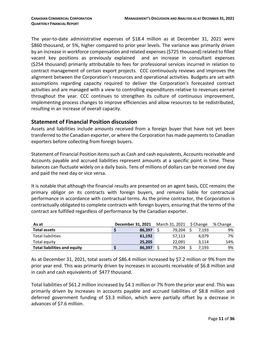The year-to-date administrative expenses of \$18.4 million as at December 31, 2021 were \$860 thousand, or 5%, higher compared to prior year levels. The variance was primarily driven by an increase in workforce compensation and related expenses (\$725 thousand) related to filled vacant key positions as previously explained and an increase in consultant expenses (\$254 thousand) primarily attributable to fees for professional services incurred in relation to contract management of certain export projects. CCC continuously reviews and improves the alignment between the Corporation's resources and operational activities. Budgets are set with assumptions regarding capacity required to deliver the Corporation's forecasted contract activities and are managed with a view to controlling expenditures relative to revenues earned throughout the year. CCC continues to strengthen its culture of continuous improvement, implementing process changes to improve efficiencies and allow resources to be redistributed, resulting in an increase of overall capacity.

#### **Statement of Financial Position discussion**

Assets and liabilities include amounts received from a foreign buyer that have not yet been transferred to the Canadian exporter, or where the Corporation has made payments to Canadian exporters before collecting from foreign buyers.

Statement of Financial Position items such as Cash and cash equivalents, Accounts receivable and Accounts payable and accrued liabilities represent amounts at a specific point in time. These balances can fluctuate widely on a daily basis. Tens of millions of dollars can be received one day and paid the next day or vice versa.

It is notable that although the financial results are presented on an agent basis, CCC remains the primary obligor on its contracts with foreign buyers, and remains liable for contractual performance in accordance with contractual terms. As the prime contractor, the Corporation is contractually obligated to complete contracts with foreign buyers, ensuring that the terms of the contract are fulfilled regardless of performance by the Canadian exporter.

| As at                               | December 31, 2021 | March 31, 2021 | \$ Change | % Change |
|-------------------------------------|-------------------|----------------|-----------|----------|
| <b>Total assets</b>                 | 86.397            | 79.204         | 7.193     | 9%       |
| <b>Total liabilities</b>            | 61.192            | 57.113         | 4.079     | 7%       |
| Total equity                        | 25.205            | 22.091         | 3.114     | 14%      |
| <b>Total liabilities and equity</b> | 86.397            | 79.204         | 7.193     | 9%       |

As at December 31, 2021, total assets of \$86.4 million increased by \$7.2 million or 9% from the prior year end. This was primarily driven by increases in accounts receivable of \$6.8 million and in cash and cash equivalents of \$477 thousand.

Total liabilities of \$61.2 million increased by \$4.1 million or 7% from the prior year end. This was primarily driven by increases in accounts payable and accrued liabilities of \$8.8 million and deferred government funding of \$3.3 million, which were partially offset by a decrease in advances of \$7.6 million.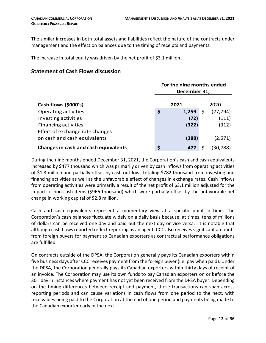The similar increases in both total assets and liabilities reflect the nature of the contracts under management and the effect on balances due to the timing of receipts and payments.

The increase in total equity was driven by the net profit of \$3.1 million.

# **Statement of Cash Flows discussion**

|                                             |              | For the nine months ended |    |           |  |  |  |  |
|---------------------------------------------|--------------|---------------------------|----|-----------|--|--|--|--|
|                                             | December 31, |                           |    |           |  |  |  |  |
| Cash flows (\$000's)                        |              | 2021                      |    | 2020      |  |  |  |  |
| Operating activities                        | \$           | 1,259                     | \$ | (27, 794) |  |  |  |  |
| Investing activities                        |              | (72)                      |    | (111)     |  |  |  |  |
| <b>Financing activities</b>                 |              | (322)                     |    | (312)     |  |  |  |  |
| Effect of exchange rate changes             |              |                           |    |           |  |  |  |  |
| on cash and cash equivalents                |              | (388)                     |    | (2,571)   |  |  |  |  |
| <b>Changes in cash and cash equivalents</b> | \$           | 477                       |    | 30,788)   |  |  |  |  |

During the nine months ended December 31, 2021, the Corporation's cash and cash equivalents increased by \$477 thousand which was primarily driven by cash inflows from operating activities of \$1.3 million and partially offset by cash outflows totaling \$782 thousand from investing and financing activities as well as the unfavorable effect of changes in exchange rates. Cash inflows from operating activities were primarily a result of the net profit of \$3.1 million adjusted for the impact of non-cash items (\$966 thousand) which were partially offset by the unfavorable net change in working capital of \$2.8 million.

Cash and cash equivalents represent a momentary view at a specific point in time. The Corporation's cash balances fluctuate widely on a daily basis because, at times, tens of millions of dollars can be received one day and paid out the next day or vice versa. It is notable that although cash flows reported reflect reporting as an agent, CCC also receives significant amounts from foreign buyers for payment to Canadian exporters as contractual performance obligations are fulfilled.

On contracts outside of the DPSA, the Corporation generally pays its Canadian exporters within five business days after CCC receives payment from the foreign buyer (i.e. pay when paid). Under the DPSA, the Corporation generally pays its Canadian exporters within thirty days of receipt of an invoice. The Corporation may use its own funds to pay Canadian exporters on or before the 30<sup>th</sup> day in instances where payment has not yet been received from the DPSA buyer. Depending on the timing differences between receipt and payment, these transactions can span across reporting periods and can cause variations in cash flows from one period to the next, with receivables being paid to the Corporation at the end of one period and payments being made to the Canadian exporter early in the next.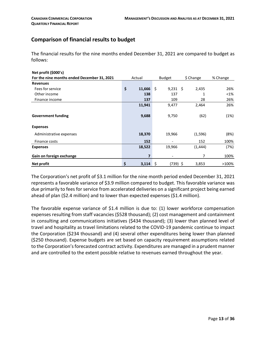# **Comparison of financial results to budget**

The financial results for the nine months ended December 31, 2021 are compared to budget as follows:

| Net profit (\$000's)                        |              |     |               |           |          |
|---------------------------------------------|--------------|-----|---------------|-----------|----------|
| For the nine months ended December 31, 2021 | Actual       |     | <b>Budget</b> | \$ Change | % Change |
| <b>Revenues</b>                             |              |     |               |           |          |
| Fees for service                            | \$<br>11,666 | Ŝ.  | $9,231$ \$    | 2,435     | 26%      |
| Other income                                | 138          |     | 137           | 1         | $< 1\%$  |
| Finance income                              | 137          |     | 109           | 28        | 26%      |
|                                             | 11,941       |     | 9,477         | 2,464     | 26%      |
|                                             |              |     |               |           |          |
| <b>Government funding</b>                   | 9,688        |     | 9,750         | (62)      | (1%)     |
|                                             |              |     |               |           |          |
| <b>Expenses</b>                             |              |     |               |           |          |
| Administrative expenses                     | 18,370       |     | 19,966        | (1, 596)  | (8%)     |
| Finance costs                               | 152          |     |               | 152       | 100%     |
| <b>Expenses</b>                             | 18,522       |     | 19,966        | (1, 444)  | (7%)     |
| Gain on foreign exchange                    | 7            |     |               | 7         | 100%     |
| Net profit                                  | \$<br>3,114  | -\$ | (739) \$      | 3,853     | >100%    |

The Corporation's net profit of \$3.1 million for the nine month period ended December 31, 2021 represents a favorable variance of \$3.9 million compared to budget. This favorable variance was due primarily to fees for service from accelerated deliveries on a significant project being earned ahead of plan (\$2.4 million) and to lower than expected expenses (\$1.4 million).

The favorable expense variance of \$1.4 million is due to: (1) lower workforce compensation expenses resulting from staff vacancies (\$528 thousand); (2) cost management and containment in consulting and communications initiatives (\$434 thousand); (3) lower than planned level of travel and hospitality as travel limitations related to the COVID-19 pandemic continue to impact the Corporation (\$234 thousand) and (4) several other expenditures being lower than planned (\$250 thousand). Expense budgets are set based on capacity requirement assumptions related to the Corporation's forecasted contract activity. Expenditures are managed in a prudent manner and are controlled to the extent possible relative to revenues earned throughout the year.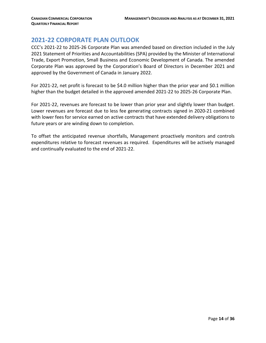# <span id="page-13-0"></span>**2021-22 CORPORATE PLAN OUTLOOK**

CCC's 2021-22 to 2025-26 Corporate Plan was amended based on direction included in the July 2021 Statement of Priorities and Accountabilities (SPA) provided by the Minister of International Trade, Export Promotion, Small Business and Economic Development of Canada. The amended Corporate Plan was approved by the Corporation's Board of Directors in December 2021 and approved by the Government of Canada in January 2022.

For 2021-22, net profit is forecast to be \$4.0 million higher than the prior year and \$0.1 million higher than the budget detailed in the approved amended 2021-22 to 2025-26 Corporate Plan.

For 2021-22, revenues are forecast to be lower than prior year and slightly lower than budget. Lower revenues are forecast due to less fee generating contracts signed in 2020-21 combined with lower fees for service earned on active contracts that have extended delivery obligations to future years or are winding down to completion.

To offset the anticipated revenue shortfalls, Management proactively monitors and controls expenditures relative to forecast revenues as required. Expenditures will be actively managed and continually evaluated to the end of 2021-22.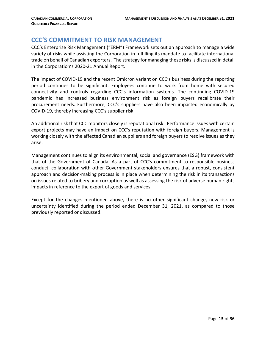# <span id="page-14-0"></span>**CCC'S COMMITMENT TO RISK MANAGEMENT**

CCC's Enterprise Risk Management ("ERM") Framework sets out an approach to manage a wide variety of risks while assisting the Corporation in fulfilling its mandate to facilitate international trade on behalf of Canadian exporters. The strategy for managing these risks is discussed in detail in the Corporation's 2020-21 Annual Report.

The impact of COVID-19 and the recent Omicron variant on CCC's business during the reporting period continues to be significant. Employees continue to work from home with secured connectivity and controls regarding CCC's information systems. The continuing COVID-19 pandemic has increased business environment risk as foreign buyers recalibrate their procurement needs. Furthermore, CCC's suppliers have also been impacted economically by COVID-19, thereby increasing CCC's supplier risk.

An additional risk that CCC monitors closely is reputational risk. Performance issues with certain export projects may have an impact on CCC's reputation with foreign buyers. Management is working closely with the affected Canadian suppliers and foreign buyers to resolve issues as they arise.

Management continues to align its environmental, social and governance (ESG) framework with that of the Government of Canada. As a part of CCC's commitment to responsible business conduct, collaboration with other Government stakeholders ensures that a robust, consistent approach and decision-making process is in place when determining the risk in its transactions on issues related to bribery and corruption as well as assessing the risk of adverse human rights impacts in reference to the export of goods and services.

Except for the changes mentioned above, there is no other significant change, new risk or uncertainty identified during the period ended December 31, 2021, as compared to those previously reported or discussed.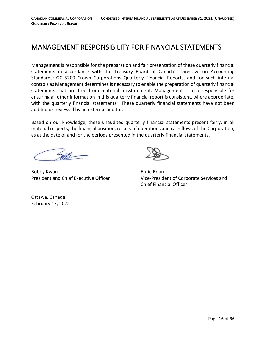# <span id="page-15-0"></span>MANAGEMENT RESPONSIBILITY FOR FINANCIAL STATEMENTS

Management is responsible for the preparation and fair presentation of these quarterly financial statements in accordance with the Treasury Board of Canada's Directive on Accounting Standards: GC 5200 Crown Corporations Quarterly Financial Reports, and for such internal controls as Management determines is necessary to enable the preparation of quarterly financial statements that are free from material misstatement. Management is also responsible for ensuring all other information in this quarterly financial report is consistent, where appropriate, with the quarterly financial statements. These quarterly financial statements have not been audited or reviewed by an external auditor.

Based on our knowledge, these unaudited quarterly financial statements present fairly, in all material respects, the financial position, results of operations and cash flows of the Corporation, as at the date of and for the periods presented in the quarterly financial statements.

Bobby Kwon **Example 2018** Ernie Briard



President and Chief Executive Officer Vice-President of Corporate Services and Chief Financial Officer

Ottawa, Canada February 17, 2022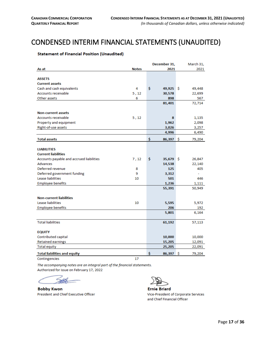# <span id="page-16-0"></span>CONDENSED INTERIM FINANCIAL STATEMENTS (UNAUDITED)<br>
Statement of Financial Position (Unaudited)

<span id="page-16-1"></span>

|                                          |              | December 31,      |    | March 31, |
|------------------------------------------|--------------|-------------------|----|-----------|
| As at                                    | <b>Notes</b> | 2021              |    | 2021      |
|                                          |              |                   |    |           |
| <b>ASSETS</b>                            |              |                   |    |           |
| <b>Current assets</b>                    |              |                   |    |           |
| Cash and cash equivalents                | 4            | \$<br>49,925      | -Ŝ | 49,448    |
| <b>Accounts receivable</b>               | 5, 12        | 30,578            |    | 22,699    |
| Other assets                             | 6            | 898               |    | 567       |
|                                          |              | 81,401            |    | 72,714    |
| <b>Non-current assets</b>                |              |                   |    |           |
| <b>Accounts receivable</b>               | 5,12         | 8                 |    | 1,135     |
| Property and equipment                   |              | 1,962             |    | 2,098     |
| Right-of-use assets                      |              | 3,026             |    | 3,257     |
|                                          |              | 4,996             |    | 6,490     |
| <b>Total assets</b>                      |              | \$<br>$86,397$ \$ |    | 79,204    |
|                                          |              |                   |    |           |
| <b>LIABILITIES</b>                       |              |                   |    |           |
| <b>Current liabilities</b>               |              |                   |    |           |
| Accounts payable and accrued liabilities | 7,12         | \$<br>35,679      | -Ś | 26,847    |
| <b>Advances</b>                          |              | 14,538            |    | 22,140    |
| Deferred revenue                         | 8            | 125               |    | 405       |
| Deferred government funding              | 9            | 3,312             |    | ٠         |
| Lease liabilities                        | 10           | 501               |    | 446       |
| <b>Employee benefits</b>                 |              | 1,236             |    | 1,111     |
|                                          |              | 55,391            |    | 50,949    |
|                                          |              |                   |    |           |
| <b>Non-current liabilities</b>           |              |                   |    |           |
| Lease liabilities                        | 10           | 5,595             |    | 5,972     |
| <b>Employee benefits</b>                 |              | 206               |    | 192       |
|                                          |              | 5,801             |    | 6,164     |
| <b>Total liabilities</b>                 |              | 61,192            |    | 57,113    |
|                                          |              |                   |    |           |
| <b>EQUITY</b>                            |              |                   |    |           |
| Contributed capital                      |              | 10,000            |    | 10,000    |
| <b>Retained earnings</b>                 |              | 15,205            |    | 12,091    |
| <b>Total equity</b>                      |              | 25,205            |    | 22,091    |
| <b>Total liabilities and equity</b>      |              | \$<br>86,397      | Ŝ  | 79,204    |
| Contingencies                            | 17           |                   |    |           |

The accompanying notes are an integral part of the financial statements. Authorized for issue on February 17, 2022

**Bobby Kwon** President and Chief Executive Officer



**Ernie Briard** Vice-President of Corporate Services and Chief Financial Officer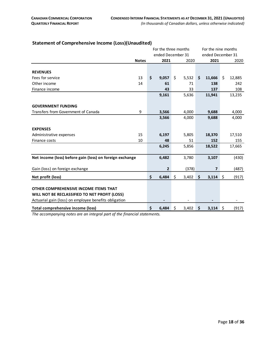|                                                          |                   | For the three months |              |    |                   | For the nine months |        |      |        |
|----------------------------------------------------------|-------------------|----------------------|--------------|----|-------------------|---------------------|--------|------|--------|
|                                                          | ended December 31 |                      |              |    | ended December 31 |                     |        |      |        |
|                                                          | <b>Notes</b>      |                      | 2021         |    | 2020              |                     | 2021   |      | 2020   |
|                                                          |                   |                      |              |    |                   |                     |        |      |        |
| <b>REVENUES</b>                                          |                   |                      |              |    |                   |                     |        |      |        |
| Fees for service                                         | 13                | \$                   | 9,057        | \$ | 5,532             | \$                  | 11,666 | \$   | 12,885 |
| Other income                                             | 14                |                      | 61           |    | 71                |                     | 138    |      | 242    |
| Finance income                                           |                   |                      | 43           |    | 33                |                     | 137    |      | 108    |
|                                                          |                   |                      | 9,161        |    | 5,636             |                     | 11,941 |      | 13,235 |
|                                                          |                   |                      |              |    |                   |                     |        |      |        |
| <b>GOVERNMENT FUNDING</b>                                |                   |                      |              |    |                   |                     |        |      |        |
| Transfers from Government of Canada                      | 9                 |                      | 3,566        |    | 4,000             |                     | 9,688  |      | 4,000  |
|                                                          |                   |                      | 3,566        |    | 4,000             |                     | 9,688  |      | 4,000  |
|                                                          |                   |                      |              |    |                   |                     |        |      |        |
| <b>EXPENSES</b>                                          |                   |                      |              |    |                   |                     |        |      |        |
| Administrative expenses                                  | 15                |                      | 6,197        |    | 5,805             |                     | 18,370 |      | 17,510 |
| Finance costs                                            | 10                |                      | 48           |    | 51                |                     | 152    |      | 155    |
|                                                          |                   |                      | 6,245        |    | 5,856             |                     | 18,522 |      | 17,665 |
|                                                          |                   |                      |              |    |                   |                     |        |      |        |
| Net income (loss) before gain (loss) on foreign exchange |                   |                      | 6,482        |    | 3,780             |                     | 3,107  |      | (430)  |
|                                                          |                   |                      |              |    |                   |                     |        |      |        |
| Gain (loss) on foreign exchange                          |                   |                      | $\mathbf{2}$ |    | (378)             |                     | 7      |      | (487)  |
| Net profit (loss)                                        |                   | \$                   | 6,484        | \$ | 3,402             | \$                  | 3,114  | \$   | (917)  |
|                                                          |                   |                      |              |    |                   |                     |        |      |        |
| OTHER COMPREHENSIVE INCOME ITEMS THAT                    |                   |                      |              |    |                   |                     |        |      |        |
| WILL NOT BE RECLASSIFIED TO NET PROFIT (LOSS)            |                   |                      |              |    |                   |                     |        |      |        |
| Actuarial gain (loss) on employee benefits obligation    |                   |                      |              |    |                   |                     |        |      |        |
| Total comprehensive income (loss)                        |                   | \$                   | 6,484        | \$ | 3,402             | \$                  | 3,114  | - \$ | (917)  |

#### <span id="page-17-0"></span>**Statement of Comprehensive Income (Loss)(Unaudited)**

*The accompanying notes are an integral part of the financial statements.*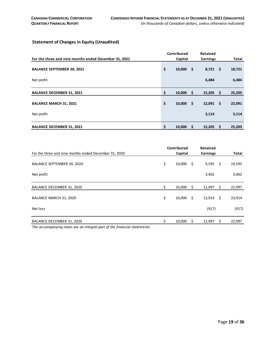### <span id="page-18-0"></span>**Statement of Changes in Equity (Unaudited)**

|                                                       | Contributed       |      | Retained         |      |        |
|-------------------------------------------------------|-------------------|------|------------------|------|--------|
| For the three and nine months ended December 31, 2021 | Capital           |      | <b>Earnings</b>  |      | Total  |
| <b>BALANCE SEPTEMBER 30, 2021</b>                     | \$<br>$10,000$ \$ |      | $8,721$ \$       |      | 18,721 |
| Net profit                                            |                   |      | 6,484            |      | 6,484  |
| <b>BALANCE DECEMBER 31, 2021</b>                      | \$<br>10,000      | - \$ | 15,205           | - \$ | 25,205 |
| <b>BALANCE MARCH 31, 2021</b>                         | \$<br>10,000      | .\$  | $12,091 \quad $$ |      | 22,091 |
| Net profit                                            |                   |      | 3,114            |      | 3,114  |
| <b>BALANCE DECEMBER 31, 2021</b>                      | \$<br>10,000      | \$   | 15,205           | - \$ | 25,205 |

|                                                                         | Contributed  |     | Retained        |                     |              |
|-------------------------------------------------------------------------|--------------|-----|-----------------|---------------------|--------------|
| For the three and nine months ended December 31, 2020                   | Capital      |     | <b>Earnings</b> |                     | <b>Total</b> |
| BALANCE SEPTEMBER 30, 2020                                              | \$<br>10,000 | -\$ | $9,595$ \$      |                     | 19,595       |
| Net profit                                                              |              |     | 3,402           |                     | 3,402        |
| BALANCE DECEMBER 31, 2020                                               | \$<br>10,000 | -\$ | 12,997          | $\ddot{\mathsf{s}}$ | 22,997       |
| BALANCE MARCH 31, 2020                                                  | \$<br>10,000 | Ŝ.  | $13,914$ \$     |                     | 23,914       |
| Net loss                                                                |              |     | (917)           |                     | (917)        |
| BALANCE DECEMBER 31, 2020                                               | 10,000       | \$  | 12,997          | \$                  | 22,997       |
| The accompanying notes are an integral part of the financial statements |              |     |                 |                     |              |

*The accompanying notes are an integral part of the financial statements.*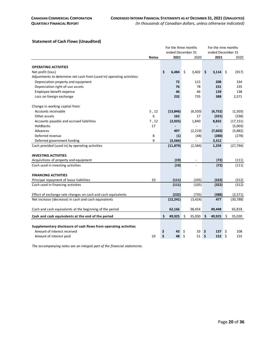#### <span id="page-19-0"></span>**Statement of Cash Flows (Unaudited)**

|                                                                        |              | For the three months |                       | For the nine months |               |  |
|------------------------------------------------------------------------|--------------|----------------------|-----------------------|---------------------|---------------|--|
|                                                                        |              |                      | ended December 31     | ended December 31   |               |  |
|                                                                        | <b>Notes</b> | 2021                 | 2020                  | 2021                | 2020          |  |
|                                                                        |              |                      |                       |                     |               |  |
| <b>OPERATING ACTIVITIES</b>                                            |              |                      |                       |                     |               |  |
| Net profit (loss)                                                      |              | \$<br>6.484          | $\mathsf{S}$<br>3,402 | \$<br>$3,114$ \$    | (917)         |  |
| Adjustments to determine net cash from (used in) operating activities: |              |                      |                       |                     |               |  |
| Depreciation property and equipment                                    |              | 72                   | 115                   | 208                 | 334           |  |
| Depreciation right-of-use assets                                       |              | 76                   | 78                    | 231                 | 235           |  |
| Employee benefit expense                                               |              | 46                   | 46                    | 139                 | 138           |  |
| Loss on foreign exchange                                               |              | 232                  | 735                   | 388                 | 2,571         |  |
| Change in working capital from:                                        |              |                      |                       |                     |               |  |
| Accounts receivable                                                    | 5, 12        | (13, 846)            | (6, 550)              | (6, 752)            | (1,503)       |  |
| Other assets                                                           | 6            | 162                  | 17                    | (331)               | (338)         |  |
| Accounts payable and accrued liabilities                               | 7, 12        | (2,035)              | 1,840                 | 8,832               | (17, 151)     |  |
| Holdbacks                                                              | 17           |                      |                       |                     | (5,003)       |  |
| Advances                                                               |              | 497                  | (2,219)               | (7,602)             | (5,882)       |  |
| Deferred revenue                                                       | 8            | (1)                  | (48)                  | (280)               | (278)         |  |
| Deferred government funding                                            | 9            | (3, 566)             |                       | 3,312               | $\frac{1}{2}$ |  |
| Cash provided (used in) by operating activities                        |              | (11, 879)            | (2,584)               | 1,259               | (27, 794)     |  |
| <b>INVESTING ACTIVITIES</b>                                            |              |                      |                       |                     |               |  |
| Acquisitions of property and equipment                                 |              | (19)                 |                       | (72)                | (111)         |  |
| Cash used in investing activities                                      |              | (19)                 |                       | (72)                | (111)         |  |
| <b>FINANCING ACTIVITIES</b>                                            |              |                      |                       |                     |               |  |
| Principal repayment of lease liabilities                               | 10           | (111)                | (105)                 | (322)               | (312)         |  |
| Cash used in financing activities                                      |              | (111)                | (105)                 | (322)               | (312)         |  |
| Effect of exchange rate changes on cash and cash equivalents           |              | (232)                | (735)                 | (388)               | (2, 571)      |  |
| Net increase (decrease) in cash and cash equivalents                   |              | (12, 241)            | (3, 424)              | 477                 | (30, 788)     |  |
| Cash and cash equivalents at the beginning of the period               |              | 62,166               | 38,454                | 49,448              | 65,818        |  |
| Cash and cash equivalents at the end of the period                     |              | \$<br>49,925         | \$<br>35,030          | 49,925<br>\$        | \$<br>35,030  |  |
|                                                                        |              |                      |                       |                     |               |  |
| Supplementary disclosure of cash flows from operating activities       |              |                      |                       |                     |               |  |
| Amount of interest received                                            |              | \$<br>43             | \$<br>33 I            | \$<br>$137 \pm 5$   | 108           |  |
| Amount of interest paid                                                | 10           | \$<br>48             | \$<br>51              | \$<br>152 \$        | 155           |  |

*The accompanying notes are an integral part of the financial statements.*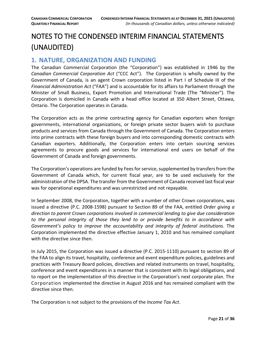# <span id="page-20-0"></span>NOTES TO THE CONDENSED INTERIM FINANCIAL STATEMENTS (UNAUDITED)

# <span id="page-20-1"></span>**1. NATURE, ORGANIZATION AND FUNDING**

The Canadian Commercial Corporation (the "Corporation") was established in 1946 by the *Canadian Commercial Corporation Act* ("CCC Act"). The Corporation is wholly owned by the Government of Canada, is an agent Crown corporation listed in Part I of Schedule III of the *Financial Administration Act* ("FAA") and is accountable for its affairs to Parliament through the Minister of Small Business, Export Promotion and International Trade (The "Minister"). The Corporation is domiciled in Canada with a head office located at 350 Albert Street, Ottawa, Ontario. The Corporation operates in Canada.

The Corporation acts as the prime contracting agency for Canadian exporters when foreign governments, international organizations, or foreign private sector buyers wish to purchase products and services from Canada through the Government of Canada. The Corporation enters into prime contracts with these foreign buyers and into corresponding domestic contracts with Canadian exporters. Additionally, the Corporation enters into certain sourcing services agreements to procure goods and services for international end users on behalf of the Government of Canada and foreign governments.

The Corporation's operations are funded by Fees for service, supplemented by transfers from the Government of Canada which, for current fiscal year, are to be used exclusively for the administration of the DPSA. The transfer from the Government of Canada received last fiscal year was for operational expenditures and was unrestricted and not repayable.

In September 2008, the Corporation, together with a number of other Crown corporations, was issued a directive (P.C. 2008-1598) pursuant to Section 89 of the FAA, entitled *Order giving a direction to parent Crown corporations involved in commercial lending to give due consideration to the personal integrity of those they lend to or provide benefits to in accordance with Government's policy to improve the accountability and integrity of federal institutions*. The Corporation implemented the directive effective January 1, 2010 and has remained compliant with the directive since then.

In July 2015, the Corporation was issued a directive (P.C. 2015-1110) pursuant to section 89 of the FAA to align its travel, hospitality, conference and event expenditure policies, guidelines and practices with Treasury Board policies, directives and related instruments on travel, hospitality, conference and event expenditures in a manner that is consistent with its legal obligations, and to report on the implementation of this directive in the Corporation's next corporate plan. The Corporation implemented the directive in August 2016 and has remained compliant with the directive since then.

The Corporation is not subject to the provisions of the *Income Tax Act*.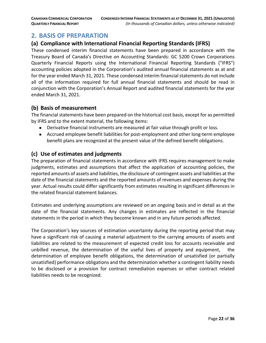# <span id="page-21-0"></span>**2. BASIS OF PREPARATION**

# **(a) Compliance with International Financial Reporting Standards (IFRS)**

These condensed interim financial statements have been prepared in accordance with the Treasury Board of Canada's Directive on Accounting Standards: GC 5200 Crown Corporations Quarterly Financial Reports using the International Financial Reporting Standards ("IFRS") accounting policies adopted in the Corporation's audited annual financial statements as at and for the year ended March 31, 2021. These condensed interim financial statements do not include all of the information required for full annual financial statements and should be read in conjunction with the Corporation's Annual Report and audited financial statements for the year ended March 31, 2021.

#### **(b) Basis of measurement**

The financial statements have been prepared on the historical cost basis, except for as permitted by IFRS and to the extent material, the following items:

- Derivative financial instruments are measured at fair value through profit or loss.
- Accrued employee benefit liabilities for post-employment and other long-term employee benefit plans are recognized at the present value of the defined benefit obligations.

### **(c) Use of estimates and judgments**

The preparation of financial statements in accordance with IFRS requires management to make judgments, estimates and assumptions that affect the application of accounting policies, the reported amounts of assets and liabilities, the disclosure of contingent assets and liabilities at the date of the financial statements and the reported amounts of revenues and expenses during the year. Actual results could differ significantly from estimates resulting in significant differences in the related financial statement balances.

Estimates and underlying assumptions are reviewed on an ongoing basis and in detail as at the date of the financial statements. Any changes in estimates are reflected in the financial statements in the period in which they become known and in any future periods affected.

The Corporation's key sources of estimation uncertainty during the reporting period that may have a significant risk of causing a material adjustment to the carrying amounts of assets and liabilities are related to the measurement of expected credit loss for accounts receivable and unbilled revenue, the determination of the useful lives of property and equipment, the determination of employee benefit obligations, the determination of unsatisfied (or partially unsatisfied) performance obligations and the determination whether a contingent liability needs to be disclosed or a provision for contract remediation expenses or other contract related liabilities needs to be recognized.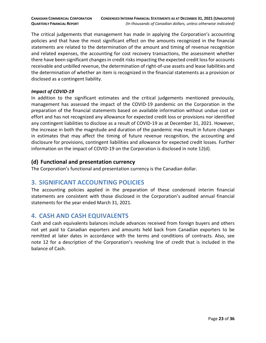The critical judgements that management has made in applying the Corporation's accounting policies and that have the most significant effect on the amounts recognized in the financial statements are related to the determination of the amount and timing of revenue recognition and related expenses, the accounting for cost recovery transactions, the assessment whether there have been significant changes in credit risks impacting the expected credit loss for accounts receivable and unbilled revenue, the determination of right-of-use assets and lease liabilities and the determination of whether an item is recognized in the financial statements as a provision or disclosed as a contingent liability.

#### *Impact of COVID-19*

In addition to the significant estimates and the critical judgements mentioned previously, management has assessed the impact of the COVID-19 pandemic on the Corporation in the preparation of the financial statements based on available information without undue cost or effort and has not recognized any allowance for expected credit loss or provisions nor identified any contingent liabilities to disclose as a result of COVID-19 as at December 31, 2021. However, the increase in both the magnitude and duration of the pandemic may result in future changes in estimates that may affect the timing of future revenue recognition, the accounting and disclosure for provisions, contingent liabilities and allowance for expected credit losses. Further information on the impact of COVID-19 on the Corporation is disclosed in note 12(d).

# **(d) Functional and presentation currency**

The Corporation's functional and presentation currency is the Canadian dollar.

# <span id="page-22-0"></span>**3. SIGNIFICANT ACCOUNTING POLICIES**

The accounting policies applied in the preparation of these condensed interim financial statements are consistent with those disclosed in the Corporation's audited annual financial statements for the year ended March 31, 2021.

# <span id="page-22-1"></span>**4. CASH AND CASH EQUIVALENTS**

Cash and cash equivalents balances include advances received from foreign buyers and others not yet paid to Canadian exporters and amounts held back from Canadian exporters to be remitted at later dates in accordance with the terms and conditions of contracts. Also, see note 12 for a description of the Corporation's revolving line of credit that is included in the balance of Cash.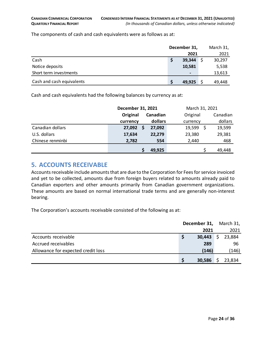The components of cash and cash equivalents were as follows as at:

|                           | December 31, |                              |  | March 31, |
|---------------------------|--------------|------------------------------|--|-----------|
|                           |              | 2021                         |  | 2021      |
| Cash                      | S            | 39,344                       |  | 30,297    |
| Notice deposits           |              | 10,581                       |  | 5,538     |
| Short term investments    |              | $\qquad \qquad \blacksquare$ |  | 13,613    |
| Cash and cash equivalents | S            | 49,925                       |  | 49,448    |

Cash and cash equivalents had the following balances by currency as at:

|                  | December 31, 2021 |          | March 31, 2021 |             |  |
|------------------|-------------------|----------|----------------|-------------|--|
|                  | Original          | Canadian | Original       | Canadian    |  |
|                  | currency          | dollars  | currency       | dollars     |  |
| Canadian dollars | 27,092            | 27,092   | 19,599         | 19,599      |  |
| U.S. dollars     | 17,634            | 22,279   | 23,380         | 29,381      |  |
| Chinese renminbi | 2,782             | 554      | 2,440          | 468         |  |
|                  |                   | 49,925   |                | S<br>49,448 |  |

# <span id="page-23-0"></span>**5. ACCOUNTS RECEIVABLE**

Accounts receivable include amounts that are due to the Corporation for Fees for service invoiced and yet to be collected, amounts due from foreign buyers related to amounts already paid to Canadian exporters and other amounts primarily from Canadian government organizations. These amounts are based on normal international trade terms and are generally non-interest bearing.

The Corporation's accounts receivable consisted of the following as at:

|                                    | December 31, |             | March 31, |
|------------------------------------|--------------|-------------|-----------|
|                                    |              | 2021        | 2021      |
| Accounts receivable                | S            | $30,443$ \$ | 23,884    |
| Accrued receivables                |              | 289         | 96        |
| Allowance for expected credit loss |              | (146)       | (146)     |
|                                    |              | 30,586      | 23,834    |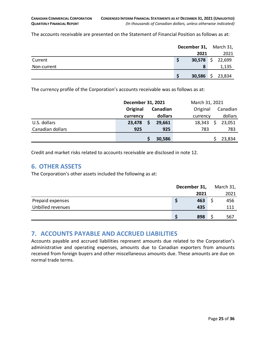The accounts receivable are presented on the Statement of Financial Position as follows as at:

|             | December 31, March 31, |        |
|-------------|------------------------|--------|
|             | 2021                   | 2021   |
| Current     | 30,578 \$ 22,699       |        |
| Non-current | 8                      | 1,135  |
|             | $30,586$ \$            | 23,834 |

The currency profile of the Corporation's accounts receivable was as follows as at:

|                  | December 31, 2021 |   |          | March 31, 2021 |  |          |
|------------------|-------------------|---|----------|----------------|--|----------|
|                  | Original          |   | Canadian | Original       |  | Canadian |
|                  | currency          |   | dollars  | currency       |  | dollars  |
| U.S. dollars     | 23,478            | S | 29,661   | 18,343         |  | 23,051   |
| Canadian dollars | 925               |   | 925      | 783            |  | 783      |
|                  |                   |   | 30,586   |                |  | 23,834   |

Credit and market risks related to accounts receivable are disclosed in note 12.

# <span id="page-24-0"></span>**6. OTHER ASSETS**

The Corporation's other assets included the following as at:

|                   | December 31, |      |  | March 31, |
|-------------------|--------------|------|--|-----------|
|                   |              | 2021 |  | 2021      |
| Prepaid expenses  |              | 463  |  | 456       |
| Unbilled revenues |              | 435  |  | 111       |
|                   |              | 898  |  | 567       |

# <span id="page-24-1"></span>**7. ACCOUNTS PAYABLE AND ACCRUED LIABILITIES**

Accounts payable and accrued liabilities represent amounts due related to the Corporation's administrative and operating expenses, amounts due to Canadian exporters from amounts received from foreign buyers and other miscellaneous amounts due. These amounts are due on normal trade terms.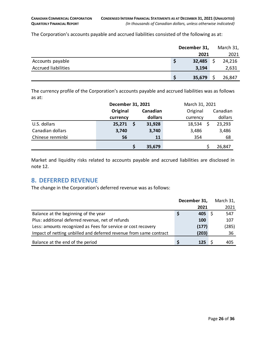The Corporation's accounts payable and accrued liabilities consisted of the following as at:

|                            |   | December 31, |  |        |
|----------------------------|---|--------------|--|--------|
|                            |   | 2021         |  | 2021   |
| Accounts payable           | S | 32,485       |  | 24,216 |
| <b>Accrued liabilities</b> |   | 3,194        |  | 2,631  |
|                            | S | 35,679       |  | 26,847 |

The currency profile of the Corporation's accounts payable and accrued liabilities was as follows as at:

|                  | December 31, 2021 |          | March 31, 2021 |          |  |  |
|------------------|-------------------|----------|----------------|----------|--|--|
|                  | Original          | Canadian |                | Canadian |  |  |
|                  | currency          | dollars  | currency       | dollars  |  |  |
| U.S. dollars     | 25,271            | 31,928   | 18,534         | 23,293   |  |  |
| Canadian dollars | 3,740             | 3,740    | 3,486          | 3,486    |  |  |
| Chinese renminbi | 56                | 11       | 354            | 68       |  |  |
|                  |                   | 35,679   |                | 26,847   |  |  |

Market and liquidity risks related to accounts payable and accrued liabilities are disclosed in note 12.

# <span id="page-25-0"></span>**8. DEFERRED REVENUE**

The change in the Corporation's deferred revenue was as follows:

|                                                                    | December 31, | March 31, |
|--------------------------------------------------------------------|--------------|-----------|
|                                                                    | 2021         | 2021      |
| Balance at the beginning of the year                               | 405          | 547       |
| Plus: additional deferred revenue, net of refunds                  | 100          | 107       |
| Less: amounts recognized as Fees for service or cost recovery      | (177)        | (285)     |
| Impact of netting unbilled and deferred revenue from same contract | (203)        | 36        |
| Balance at the end of the period                                   | 125          | 405       |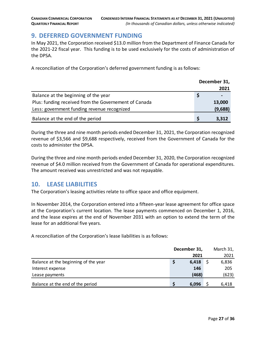# <span id="page-26-0"></span>**9. DEFERRED GOVERNMENT FUNDING**

In May 2021, the Corporation received \$13.0 million from the Department of Finance Canada for the 2021-22 fiscal year. This funding is to be used exclusively for the costs of administration of the DPSA.

A reconciliation of the Corporation's deferred government funding is as follows:

|                                                       | December 31, |         |
|-------------------------------------------------------|--------------|---------|
|                                                       |              | 2021    |
| Balance at the beginning of the year                  |              |         |
| Plus: funding received from the Governement of Canada |              | 13,000  |
| Less: government funding revenue recognized           |              | (9,688) |
| Balance at the end of the period                      |              | 3,312   |

During the three and nine month periods ended December 31, 2021, the Corporation recognized revenue of \$3,566 and \$9,688 respectively, received from the Government of Canada for the costs to administer the DPSA.

During the three and nine month periods ended December 31, 2020, the Corporation recognized revenue of \$4.0 million received from the Government of Canada for operational expenditures. The amount received was unrestricted and was not repayable.

# <span id="page-26-1"></span>**10. LEASE LIABILITIES**

The Corporation's leasing activities relate to office space and office equipment.

In November 2014, the Corporation entered into a fifteen-year lease agreement for office space at the Corporation's current location. The lease payments commenced on December 1, 2016, and the lease expires at the end of November 2031 with an option to extend the term of the lease for an additional five years.

A reconciliation of the Corporation's lease liabilities is as follows:

|                                      | December 31, |       |  | March 31, |
|--------------------------------------|--------------|-------|--|-----------|
|                                      |              | 2021  |  | 2021      |
| Balance at the beginning of the year |              | 6,418 |  | 6,836     |
| Interest expense                     |              | 146   |  | 205       |
| Lease payments                       |              | (468) |  | (623)     |
| Balance at the end of the period     |              | 6,096 |  | 6,418     |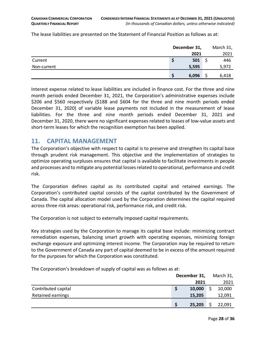The lease liabilities are presented on the Statement of Financial Position as follows as at:

|             | December 31, | March 31, |
|-------------|--------------|-----------|
|             | 2021         | 2021      |
| Current     | 501          | 446       |
| Non-current | 5,595        | 5,972     |
|             | 6,096        | 6,418     |

Interest expense related to lease liabilities are included in finance cost. For the three and nine month periods ended December 31, 2021, the Corporation's administrative expenses include \$206 and \$560 respectively (\$188 and \$604 for the three and nine month periods ended December 31, 2020) of variable lease payments not included in the measurement of lease liabilities. For the three and nine month periods ended December 31, 2021 and December 31, 2020, there were no significant expenses related to leases of low-value assets and short-term leases for which the recognition exemption has been applied.

# <span id="page-27-0"></span>**11. CAPITAL MANAGEMENT**

The Corporation's objective with respect to capital is to preserve and strengthen its capital base through prudent risk management. This objective and the implementation of strategies to optimize operating surpluses ensures that capital is available to facilitate investments in people and processes and to mitigate any potential losses related to operational, performance and credit risk.

The Corporation defines capital as its contributed capital and retained earnings. The Corporation's contributed capital consists of the capital contributed by the Government of Canada. The capital allocation model used by the Corporation determines the capital required across three risk areas: operational risk, performance risk, and credit risk.

The Corporation is not subject to externally imposed capital requirements.

Key strategies used by the Corporation to manage its capital base include: minimizing contract remediation expenses, balancing smart growth with operating expenses, minimizing foreign exchange exposure and optimizing interest income. The Corporation may be required to return to the Government of Canada any part of capital deemed to be in excess of the amount required for the purposes for which the Corporation was constituted.

The Corporation's breakdown of supply of capital was as follows as at:

|                     | December 31, |        |  | March 31, |
|---------------------|--------------|--------|--|-----------|
|                     |              | 2021   |  | 2021      |
| Contributed capital |              | 10,000 |  | 10,000    |
| Retained earnings   |              | 15,205 |  | 12,091    |
|                     |              | 25,205 |  | 22,091    |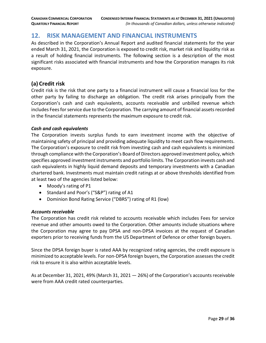# <span id="page-28-0"></span>**12. RISK MANAGEMENT AND FINANCIAL INSTRUMENTS**

As described in the Corporation's Annual Report and audited financial statements for the year ended March 31, 2021, the Corporation is exposed to credit risk, market risk and liquidity risk as a result of holding financial instruments. The following section is a description of the most significant risks associated with financial instruments and how the Corporation manages its risk exposure.

# **(a) Credit risk**

Credit risk is the risk that one party to a financial instrument will cause a financial loss for the other party by failing to discharge an obligation. The credit risk arises principally from the Corporation's cash and cash equivalents, accounts receivable and unbilled revenue which includes Fees for service due to the Corporation. The carrying amount of financial assets recorded in the financial statements represents the maximum exposure to credit risk.

#### *Cash and cash equivalents*

The Corporation invests surplus funds to earn investment income with the objective of maintaining safety of principal and providing adequate liquidity to meet cash flow requirements. The Corporation's exposure to credit risk from investing cash and cash equivalents is minimized through compliance with the Corporation's Board of Directors approved investment policy, which specifies approved investment instruments and portfolio limits. The Corporation invests cash and cash equivalents in highly liquid demand deposits and temporary investments with a Canadian chartered bank. Investments must maintain credit ratings at or above thresholds identified from at least two of the agencies listed below:

- Moody's rating of P1
- Standard and Poor's ("S&P") rating of A1
- Dominion Bond Rating Service ("DBRS") rating of R1 (low)

#### *Accounts receivable*

The Corporation has credit risk related to accounts receivable which includes Fees for service revenue and other amounts owed to the Corporation. Other amounts include situations where the Corporation may agree to pay DPSA and non-DPSA invoices at the request of Canadian exporters prior to receiving funds from the US Department of Defence or other foreign buyers.

Since the DPSA foreign buyer is rated AAA by recognized rating agencies, the credit exposure is minimized to acceptable levels. For non-DPSA foreign buyers, the Corporation assesses the credit risk to ensure it is also within acceptable levels.

As at December 31, 2021, 49% (March 31, 2021 — 26%) of the Corporation's accounts receivable were from AAA credit rated counterparties.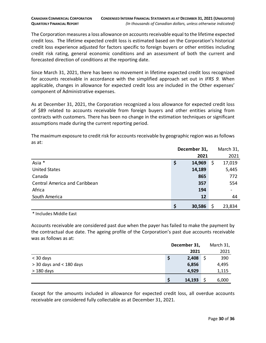The Corporation measures a loss allowance on accounts receivable equal to the lifetime expected credit loss. The lifetime expected credit loss is estimated based on the Corporation's historical credit loss experience adjusted for factors specific to foreign buyers or other entities including credit risk rating, general economic conditions and an assessment of both the current and forecasted direction of conditions at the reporting date.

Since March 31, 2021, there has been no movement in lifetime expected credit loss recognized for accounts receivable in accordance with the simplified approach set out in *IFRS 9.* When applicable, changes in allowance for expected credit loss are included in the Other expenses' component of Administrative expenses.

As at December 31, 2021, the Corporation recognized a loss allowance for expected credit loss of \$89 related to accounts receivable from foreign buyers and other entities arising from contracts with customers. There has been no change in the estimation techniques or significant assumptions made during the current reporting period.

The maximum exposure to credit risk for accounts receivable by geographic region was as follows as at:

|                               | December 31, |   | March 31,                |
|-------------------------------|--------------|---|--------------------------|
|                               | 2021         |   | 2021                     |
| Asia *                        | \$<br>14,969 | Ş | 17,019                   |
| <b>United States</b>          | 14,189       |   | 5,445                    |
| Canada                        | 865          |   | 772                      |
| Central America and Caribbean | 357          |   | 554                      |
| Africa                        | 194          |   | $\overline{\phantom{a}}$ |
| South America                 | 12           |   | 44                       |
|                               | \$<br>30,586 |   | 23,834                   |

\* Includes Middle East

Accounts receivable are considered past due when the payer has failed to make the payment by the contractual due date. The ageing profile of the Corporation's past due accounts receivable was as follows as at:

|                            | December 31, | March 31, |
|----------------------------|--------------|-----------|
|                            | 2021         | 2021      |
| $<$ 30 days                | 2,408<br>Ş   | 390       |
| $>$ 30 days and < 180 days | 6,856        | 4,495     |
| $>180$ days                | 4,929        | 1,115     |
|                            | 14,193       | 6,000     |

Except for the amounts included in allowance for expected credit loss, all overdue accounts receivable are considered fully collectable as at December 31, 2021.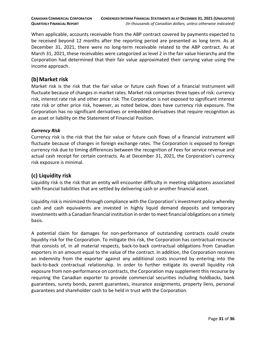When applicable, accounts receivable from the ABP contract covered by payments expected to be received beyond 12 months after the reporting period are presented as long term. As at December 31, 2021, there were no long-term receivable related to the ABP contract. As at March 31, 2021, these receivables were categorized as level 2 in the fair value hierarchy and the Corporation had determined that their fair value approximated their carrying value using the income approach.

# **(b)Market risk**

Market risk is the risk that the fair value or future cash flows of a financial instrument will fluctuate because of changes in market rates. Market risk comprises three types of risk: currency risk, interest rate risk and other price risk. The Corporation is not exposed to significant interest rate risk or other price risk, however, as noted below, does have currency risk exposure. The Corporation has no significant derivatives or embedded derivatives that require recognition as an asset or liability on the Statement of Financial Position.

#### *Currency Risk*

Currency risk is the risk that the fair value or future cash flows of a financial instrument will fluctuate because of changes in foreign exchange rates. The Corporation is exposed to foreign currency risk due to timing differences between the recognition of Fees for service revenue and actual cash receipt for certain contracts. As at December 31, 2021, the Corporation's currency risk exposure is minimal.

# **(c) Liquidity risk**

Liquidity risk is the risk that an entity will encounter difficulty in meeting obligations associated with financial liabilities that are settled by delivering cash or another financial asset.

Liquidity risk is minimized through compliance with the Corporation's investment policy whereby cash and cash equivalents are invested in highly liquid demand deposits and temporary investments with a Canadian financial institution in order to meet financial obligations on a timely basis.

A potential claim for damages for non-performance of outstanding contracts could create liquidity risk for the Corporation. To mitigate this risk, the Corporation has contractual recourse that consists of, in all material respects, back-to-back contractual obligations from Canadian exporters in an amount equal to the value of the contract. In addition, the Corporation receives an indemnity from the exporter against any additional costs incurred by entering into the back-to-back contractual relationship. In order to further mitigate its overall liquidity risk exposure from non-performance on contracts, the Corporation may supplement this recourse by requiring the Canadian exporter to provide commercial securities including holdbacks, bank guarantees, surety bonds, parent guarantees, insurance assignments, property liens, personal guarantees and shareholder cash to be held in trust with the Corporation.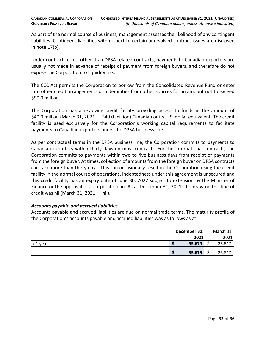As part of the normal course of business, management assesses the likelihood of any contingent liabilities. Contingent liabilities with respect to certain unresolved contract issues are disclosed in note 17(b).

Under contract terms, other than DPSA related contracts, payments to Canadian exporters are usually not made in advance of receipt of payment from foreign buyers, and therefore do not expose the Corporation to liquidity risk.

The CCC Act permits the Corporation to borrow from the Consolidated Revenue Fund or enter into other credit arrangements or indemnities from other sources for an amount not to exceed \$90.0 million.

The Corporation has a revolving credit facility providing access to funds in the amount of \$40.0 million (March 31, 2021 – \$40.0 million) Canadian or its U.S. dollar equivalent. The credit facility is used exclusively for the Corporation's working capital requirements to facilitate payments to Canadian exporters under the DPSA business line.

As per contractual terms in the DPSA business line, the Corporation commits to payments to Canadian exporters within thirty days on most contracts. For the International contracts, the Corporation commits to payments within two to five business days from receipt of payments from the foreign buyer. At times, collection of amounts from the foreign buyer on DPSA contracts can take more than thirty days. This can occasionally result in the Corporation using the credit facility in the normal course of operations. Indebtedness under this agreement is unsecured and this credit facility has an expiry date of June 30, 2022 subject to extension by the Minister of Finance or the approval of a corporate plan. As at December 31, 2021, the draw on this line of credit was nil (March 31, 2021 — nil).

#### *Accounts payable and accrued liabilities*

Accounts payable and accrued liabilities are due on normal trade terms. The maturity profile of the Corporation's accounts payable and accrued liabilities was as follows as at:

|          | December 31, | March 31, |  |  |
|----------|--------------|-----------|--|--|
|          | 2021         | 2021      |  |  |
| < 1 year | 35,679       | 26,847    |  |  |
|          | 35,679       | 26,847    |  |  |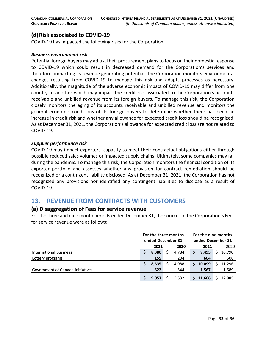# **(d)Risk associated to COVID-19**

COVID-19 has impacted the following risks for the Corporation:

#### *Business environment risk*

Potential foreign buyers may adjust their procurement plans to focus on their domestic response to COVID-19 which could result in decreased demand for the Corporation's services and therefore, impacting its revenue generating potential. The Corporation monitors environmental changes resulting from COVID-19 to manage this risk and adapts processes as necessary. Additionally, the magnitude of the adverse economic impact of COVID-19 may differ from one country to another which may impact the credit risk associated to the Corporation's accounts receivable and unbilled revenue from its foreign buyers. To manage this risk, the Corporation closely monitors the aging of its accounts receivable and unbilled revenue and monitors the general economic conditions of its foreign buyers to determine whether there has been an increase in credit risk and whether any allowance for expected credit loss should be recognized. As at December 31, 2021, the Corporation's allowance for expected credit loss are not related to COVID-19.

#### *Supplier performance risk*

COVID-19 may impact exporters' capacity to meet their contractual obligations either through possible reduced sales volumes or impacted supply chains. Ultimately, some companies may fail during the pandemic. To manage this risk, the Corporation monitors the financial condition of its exporter portfolio and assesses whether any provision for contract remediation should be recognized or a contingent liability disclosed. As at December 31, 2021, the Corporation has not recognized any provisions nor identified any contingent liabilities to disclose as a result of COVID-19.

# <span id="page-32-0"></span>**13. REVENUE FROM CONTRACTS WITH CUSTOMERS**

#### **(a) Disaggregation of Fees for service revenue**

For the three and nine month periods ended December 31, the sources of the Corporation's Fees for service revenue were as follows:

|                                  | For the three months<br>ended December 31 |       |  |       | For the nine months<br>ended December 31 |        |      |        |
|----------------------------------|-------------------------------------------|-------|--|-------|------------------------------------------|--------|------|--------|
|                                  | 2020<br>2021                              |       |  | 2021  |                                          |        | 2020 |        |
| International business           | S                                         | 8,380 |  | 4.784 | S                                        | 9,495  |      | 10,790 |
| Lottery programs                 |                                           | 155   |  | 204   |                                          | 604    |      | 506    |
|                                  | S                                         | 8,535 |  | 4,988 | S                                        | 10,099 |      | 11,296 |
| Government of Canada initiatives |                                           | 522   |  | 544   |                                          | 1,567  |      | 1,589  |
|                                  |                                           | 9,057 |  | 5,532 |                                          | 11,666 |      | 12,885 |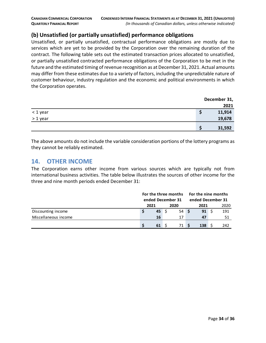# **(b) Unsatisfied (or partially unsatisfied) performance obligations**

Unsatisfied, or partially unsatisfied, contractual performance obligations are mostly due to services which are yet to be provided by the Corporation over the remaining duration of the contract. The following table sets out the estimated transaction prices allocated to unsatisfied, or partially unsatisfied contracted performance obligations of the Corporation to be met in the future and the estimated timing of revenue recognition as at December 31, 2021. Actual amounts may differ from these estimates due to a variety of factors, including the unpredictable nature of customer behaviour, industry regulation and the economic and political environments in which the Corporation operates.

|          | December 31, |
|----------|--------------|
|          | 2021         |
| < 1 year | 11,914       |
| > 1 year | 19,678       |
|          | 31,592       |

The above amounts do not include the variable consideration portions of the lottery programs as they cannot be reliably estimated.

# <span id="page-33-0"></span>**14. OTHER INCOME**

The Corporation earns other income from various sources which are typically not from international business activities. The table below illustrates the sources of other income for the three and nine month periods ended December 31:

|                      |  | For the three months<br>ended December 31 |  |      |  | For the nine months<br>ended December 31 |  |      |  |
|----------------------|--|-------------------------------------------|--|------|--|------------------------------------------|--|------|--|
|                      |  |                                           |  |      |  |                                          |  |      |  |
|                      |  | 2021                                      |  | 2020 |  | 2021                                     |  | 2020 |  |
| Discounting income   |  | $45 \quad$                                |  | 54S  |  | 91                                       |  | 191  |  |
| Miscellaneous income |  | 16                                        |  | 17   |  | 47                                       |  | 51   |  |
|                      |  | $61 \quad$                                |  | 71 S |  | 138                                      |  | 242  |  |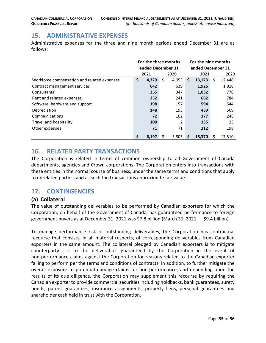# <span id="page-34-0"></span>**15. ADMINISTRATIVE EXPENSES**

Administrative expenses for the three and nine month periods ended December 31 are as follows:

|                                             | For the three months |                   |    |       | For the nine months |        |    |        |  |  |
|---------------------------------------------|----------------------|-------------------|----|-------|---------------------|--------|----|--------|--|--|
|                                             |                      | ended December 31 |    |       | ended December 31   |        |    |        |  |  |
|                                             |                      | 2021              |    | 2020  |                     | 2021   |    | 2020   |  |  |
| Workforce compensation and related expenses | \$                   | 4,379             | \$ | 4,053 | \$                  | 13,173 | \$ | 12,448 |  |  |
| Contract management services                |                      | 642               |    | 639   |                     | 1,926  |    | 1,918  |  |  |
| Consultants                                 |                      | 355               |    | 347   |                     | 1,032  |    | 778    |  |  |
| Rent and related expenses                   |                      | 232               |    | 241   |                     | 682    |    | 784    |  |  |
| Software, hardware and support              |                      | 198               |    | 157   |                     | 594    |    | 544    |  |  |
| Depreciation                                |                      | 148               |    | 193   |                     | 439    |    | 569    |  |  |
| Communications                              |                      | 72                |    | 102   |                     | 177    |    | 248    |  |  |
| Travel and hospitality                      |                      | 100               |    | 2     |                     | 135    |    | 23     |  |  |
| Other expenses                              |                      | 71                |    | 71    |                     | 212    |    | 198    |  |  |
|                                             | \$                   | 6.197             | Ś  | 5.805 | S                   | 18.370 | Ś  | 17,510 |  |  |

# <span id="page-34-1"></span>**16. RELATED PARTY TRANSACTIONS**

The Corporation is related in terms of common ownership to all Government of Canada departments, agencies and Crown corporations. The Corporation enters into transactions with these entities in the normal course of business, under the same terms and conditions that apply to unrelated parties, and as such the transactions approximate fair value.

# <span id="page-34-2"></span>**17. CONTINGENCIES**

# **(a) Collateral**

The value of outstanding deliverables to be performed by Canadian exporters for which the Corporation, on behalf of the Government of Canada, has guaranteed performance to foreign government buyers as at December 31, 2021 was \$7.8 billion (March 31, 2021 — \$9.4 billion).

To manage performance risk of outstanding deliverables, the Corporation has contractual recourse that consists, in all material respects, of corresponding deliverables from Canadian exporters in the same amount. The collateral pledged by Canadian exporters is to mitigate counterparty risk to the deliverables guaranteed by the Corporation in the event of non-performance claims against the Corporation for reasons related to the Canadian exporter failing to perform per the terms and conditions of contracts. In addition, to further mitigate the overall exposure to potential damage claims for non-performance, and depending upon the results of its due diligence, the Corporation may supplement this recourse by requiring the Canadian exporter to provide commercial securities including holdbacks, bank guarantees, surety bonds, parent guarantees, insurance assignments, property liens, personal guarantees and shareholder cash held in trust with the Corporation.